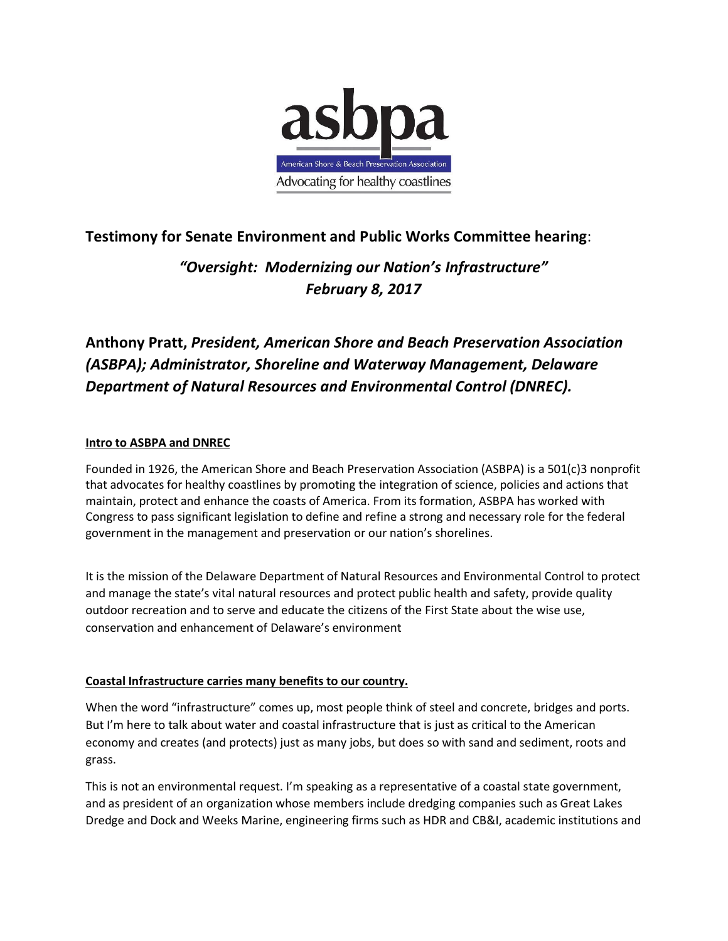

# **Testimony for Senate Environment and Public Works Committee hearing**:

*"Oversight: Modernizing our Nation's Infrastructure" February 8, 2017*

# **Anthony Pratt,** *President, American Shore and Beach Preservation Association (ASBPA); Administrator, Shoreline and Waterway Management, Delaware Department of Natural Resources and Environmental Control (DNREC).*

#### **Intro to ASBPA and DNREC**

Founded in 1926, the American Shore and Beach Preservation Association (ASBPA) is a 501(c)3 nonprofit that advocates for healthy coastlines by promoting the integration of science, policies and actions that maintain, protect and enhance the coasts of America. From its formation, ASBPA has worked with Congress to pass significant legislation to define and refine a strong and necessary role for the federal government in the management and preservation or our nation's shorelines.

It is the mission of the Delaware Department of Natural Resources and Environmental Control to protect and manage the state's vital natural resources and protect public health and safety, provide quality outdoor recreation and to serve and educate the citizens of the First State about the wise use, conservation and enhancement of Delaware's environment

#### **Coastal Infrastructure carries many benefits to our country.**

When the word "infrastructure" comes up, most people think of steel and concrete, bridges and ports. But I'm here to talk about water and coastal infrastructure that is just as critical to the American economy and creates (and protects) just as many jobs, but does so with sand and sediment, roots and grass.

This is not an environmental request. I'm speaking as a representative of a coastal state government, and as president of an organization whose members include dredging companies such as Great Lakes Dredge and Dock and Weeks Marine, engineering firms such as HDR and CB&I, academic institutions and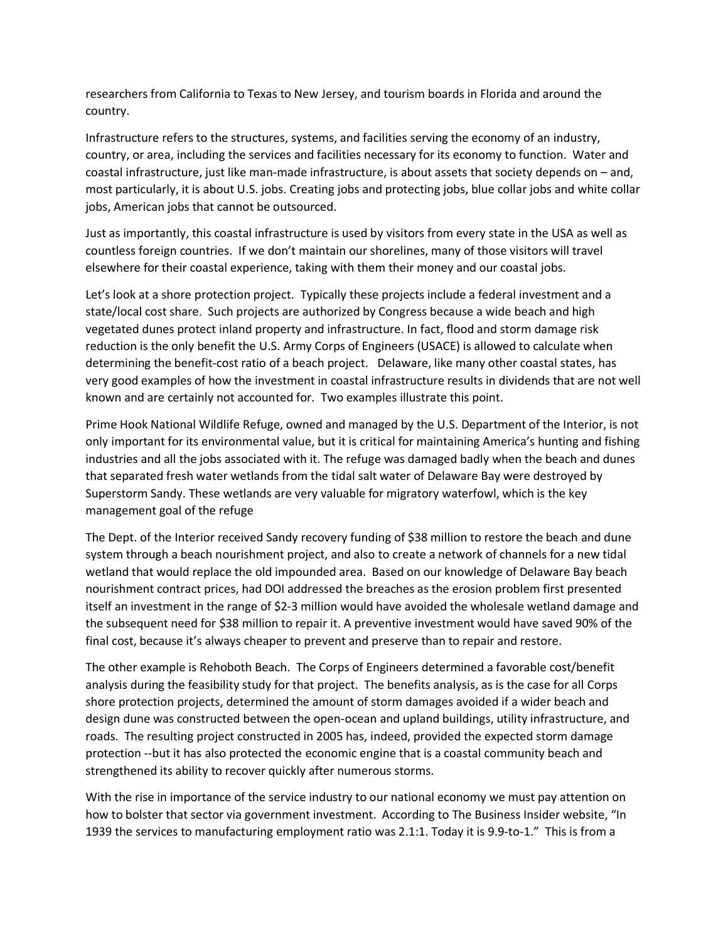researchers from California to Texas to New Jersey, and tourism boards in Florida and around the country.

Infrastructure refers to the structures, systems, and facilities serving the economy of an industry, country, or area, including the services and facilities necessary for its economy to function. Water and coastal infrastructure, just like man-made infrastructure, is about assets that society depends on – and, most particularly, it is about U.S. jobs. Creating jobs and protecting jobs, blue collar jobs and white collar jobs, American jobs that cannot be outsourced.

Just as importantly, this coastal infrastructure is used by visitors from every state in the USA as well as countless foreign countries. If we don't maintain our shorelines, many of those visitors will travel elsewhere for their coastal experience, taking with them their money and our coastal jobs.

Let's look at a shore protection project. Typically these projects include a federal investment and a state/local cost share. Such projects are authorized by Congress because a wide beach and high vegetated dunes protect inland property and infrastructure. In fact, flood and storm damage risk reduction is the only benefit the U.S. Army Corps of Engineers (USACE) is allowed to calculate when determining the benefit-cost ratio of a beach project. Delaware, like many other coastal states, has very good examples of how the investment in coastal infrastructure results in dividends that are not well known and are certainly not accounted for. Two examples illustrate this point.

Prime Hook National Wildlife Refuge, owned and managed by the U.S. Department of the Interior, is not only important for its environmental value, but it is critical for maintaining America's hunting and fishing industries and all the jobs associated with it. The refuge was damaged badly when the beach and dunes that separated fresh water wetlands from the tidal salt water of Delaware Bay were destroyed by Superstorm Sandy. These wetlands are very valuable for migratory waterfowl, which is the key management goal of the refuge

The Dept. of the Interior received Sandy recovery funding of \$38 million to restore the beach and dune system through a beach nourishment project, and also to create a network of channels for a new tidal wetland that would replace the old impounded area. Based on our knowledge of Delaware Bay beach nourishment contract prices, had DOI addressed the breaches as the erosion problem first presented itself an investment in the range of \$2-3 million would have avoided the wholesale wetland damage and the subsequent need for \$38 million to repair it. A preventive investment would have saved 90% of the final cost, because it's always cheaper to prevent and preserve than to repair and restore.

The other example is Rehoboth Beach. The Corps of Engineers determined a favorable cost/benefit analysis during the feasibility study for that project. The benefits analysis, as is the case for all Corps shore protection projects, determined the amount of storm damages avoided if a wider beach and design dune was constructed between the open-ocean and upland buildings, utility infrastructure, and roads. The resulting project constructed in 2005 has, indeed, provided the expected storm damage protection --but it has also protected the economic engine that is a coastal community beach and strengthened its ability to recover quickly after numerous storms.

With the rise in importance of the service industry to our national economy we must pay attention on how to bolster that sector via government investment. According to The Business Insider website, "In 1939 the services to manufacturing employment ratio was 2.1:1. Today it is 9.9-to-1." This is from a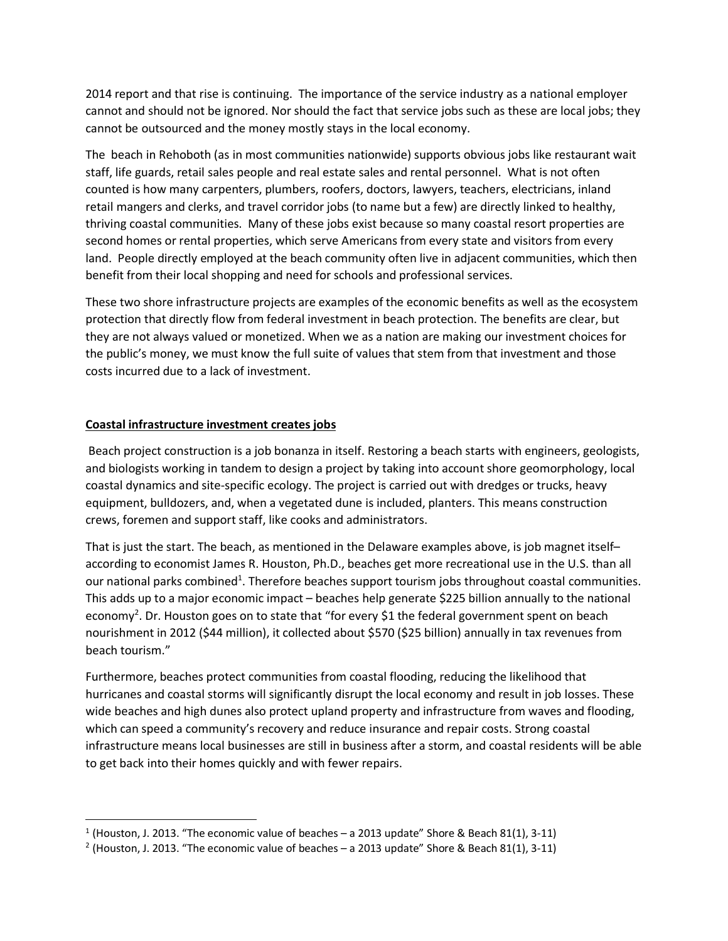2014 report and that rise is continuing. The importance of the service industry as a national employer cannot and should not be ignored. Nor should the fact that service jobs such as these are local jobs; they cannot be outsourced and the money mostly stays in the local economy.

The beach in Rehoboth (as in most communities nationwide) supports obvious jobs like restaurant wait staff, life guards, retail sales people and real estate sales and rental personnel. What is not often counted is how many carpenters, plumbers, roofers, doctors, lawyers, teachers, electricians, inland retail mangers and clerks, and travel corridor jobs (to name but a few) are directly linked to healthy, thriving coastal communities. Many of these jobs exist because so many coastal resort properties are second homes or rental properties, which serve Americans from every state and visitors from every land. People directly employed at the beach community often live in adjacent communities, which then benefit from their local shopping and need for schools and professional services.

These two shore infrastructure projects are examples of the economic benefits as well as the ecosystem protection that directly flow from federal investment in beach protection. The benefits are clear, but they are not always valued or monetized. When we as a nation are making our investment choices for the public's money, we must know the full suite of values that stem from that investment and those costs incurred due to a lack of investment.

## **Coastal infrastructure investment creates jobs**

Beach project construction is a job bonanza in itself. Restoring a beach starts with engineers, geologists, and biologists working in tandem to design a project by taking into account shore geomorphology, local coastal dynamics and site-specific ecology. The project is carried out with dredges or trucks, heavy equipment, bulldozers, and, when a vegetated dune is included, planters. This means construction crews, foremen and support staff, like cooks and administrators.

That is just the start. The beach, as mentioned in the Delaware examples above, is job magnet itself– according to economist James R. Houston, Ph.D., beaches get more recreational use in the U.S. than all our national parks combined<sup>1</sup>. Therefore beaches support tourism jobs throughout coastal communities. This adds up to a major economic impact – beaches help generate \$225 billion annually to the national economy<sup>2</sup>. Dr. Houston goes on to state that "for every \$1 the federal government spent on beach nourishment in 2012 (\$44 million), it collected about \$570 (\$25 billion) annually in tax revenues from beach tourism."

Furthermore, beaches protect communities from coastal flooding, reducing the likelihood that hurricanes and coastal storms will significantly disrupt the local economy and result in job losses. These wide beaches and high dunes also protect upland property and infrastructure from waves and flooding, which can speed a community's recovery and reduce insurance and repair costs. Strong coastal infrastructure means local businesses are still in business after a storm, and coastal residents will be able to get back into their homes quickly and with fewer repairs.

 $1$  (Houston, J. 2013. "The economic value of beaches – a 2013 update" Shore & Beach 81(1), 3-11)

<sup>&</sup>lt;sup>2</sup> (Houston, J. 2013. "The economic value of beaches – a 2013 update" Shore & Beach 81(1), 3-11)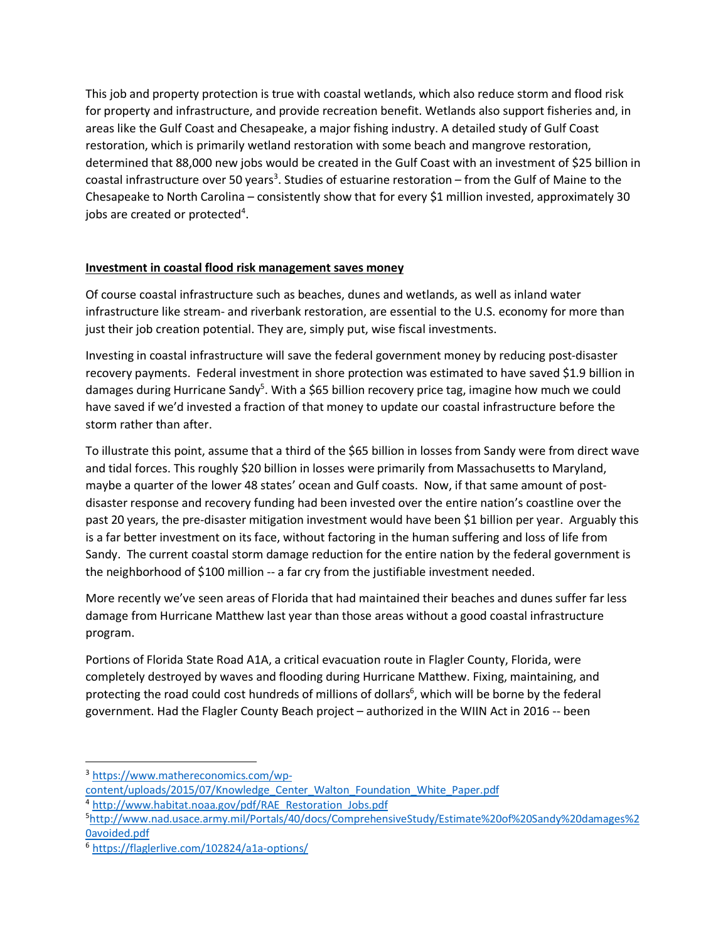This job and property protection is true with coastal wetlands, which also reduce storm and flood risk for property and infrastructure, and provide recreation benefit. Wetlands also support fisheries and, in areas like the Gulf Coast and Chesapeake, a major fishing industry. A detailed study of Gulf Coast restoration, which is primarily wetland restoration with some beach and mangrove restoration, determined that 88,000 new jobs would be created in the Gulf Coast with an investment of \$25 billion in coastal infrastructure over 50 years<sup>3</sup>. Studies of estuarine restoration – from the Gulf of Maine to the Chesapeake to North Carolina – consistently show that for every \$1 million invested, approximately 30 jobs are created or protected<sup>4</sup>.

## **Investment in coastal flood risk management saves money**

Of course coastal infrastructure such as beaches, dunes and wetlands, as well as inland water infrastructure like stream- and riverbank restoration, are essential to the U.S. economy for more than just their job creation potential. They are, simply put, wise fiscal investments.

Investing in coastal infrastructure will save the federal government money by reducing post-disaster recovery payments. Federal investment in shore protection was estimated to have saved \$1.9 billion in damages during Hurricane Sandy<sup>5</sup>. With a \$65 billion recovery price tag, imagine how much we could have saved if we'd invested a fraction of that money to update our coastal infrastructure before the storm rather than after.

To illustrate this point, assume that a third of the \$65 billion in losses from Sandy were from direct wave and tidal forces. This roughly \$20 billion in losses were primarily from Massachusetts to Maryland, maybe a quarter of the lower 48 states' ocean and Gulf coasts. Now, if that same amount of postdisaster response and recovery funding had been invested over the entire nation's coastline over the past 20 years, the pre-disaster mitigation investment would have been \$1 billion per year. Arguably this is a far better investment on its face, without factoring in the human suffering and loss of life from Sandy. The current coastal storm damage reduction for the entire nation by the federal government is the neighborhood of \$100 million -- a far cry from the justifiable investment needed.

More recently we've seen areas of Florida that had maintained their beaches and dunes suffer far less damage from Hurricane Matthew last year than those areas without a good coastal infrastructure program.

Portions of Florida State Road A1A, a critical evacuation route in Flagler County, Florida, were completely destroyed by waves and flooding during Hurricane Matthew. Fixing, maintaining, and protecting the road could cost hundreds of millions of dollars<sup>6</sup>, which will be borne by the federal government. Had the Flagler County Beach project – authorized in the WIIN Act in 2016 -- been

 <sup>3</sup> https://www.mathereconomics.com/wp-

content/uploads/2015/07/Knowledge\_Center\_Walton\_Foundation\_White\_Paper.pdf

<sup>4</sup> http://www.habitat.noaa.gov/pdf/RAE\_Restoration\_Jobs.pdf

<sup>5</sup> http://www.nad.usace.army.mil/Portals/40/docs/ComprehensiveStudy/Estimate%20of%20Sandy%20damages%2 0avoided.pdf

<sup>6</sup> https://flaglerlive.com/102824/a1a-options/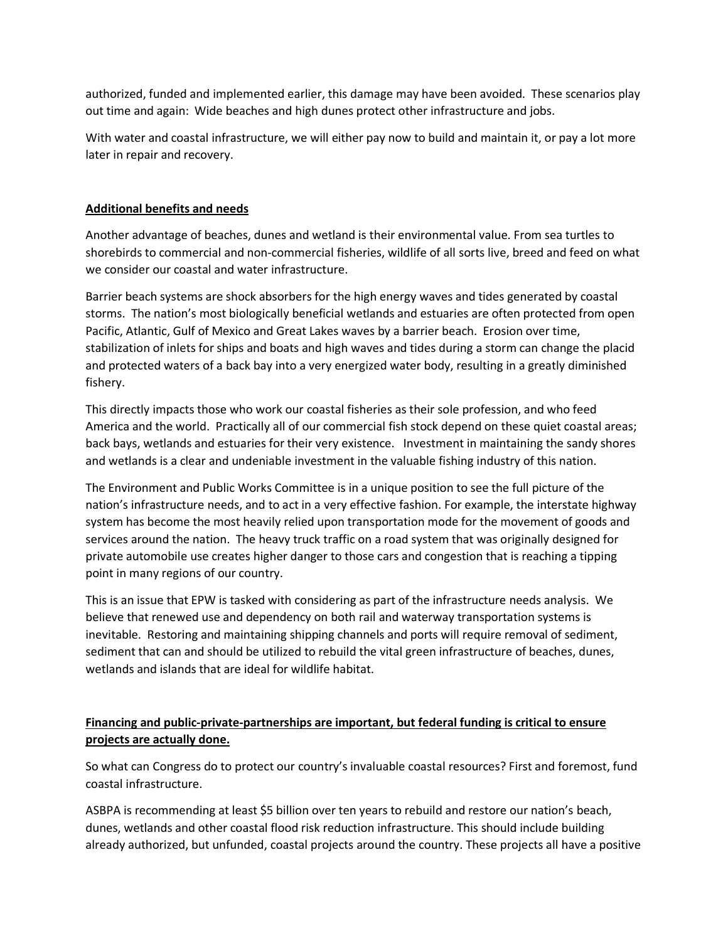authorized, funded and implemented earlier, this damage may have been avoided. These scenarios play out time and again: Wide beaches and high dunes protect other infrastructure and jobs.

With water and coastal infrastructure, we will either pay now to build and maintain it, or pay a lot more later in repair and recovery.

#### **Additional benefits and needs**

Another advantage of beaches, dunes and wetland is their environmental value. From sea turtles to shorebirds to commercial and non-commercial fisheries, wildlife of all sorts live, breed and feed on what we consider our coastal and water infrastructure.

Barrier beach systems are shock absorbers for the high energy waves and tides generated by coastal storms. The nation's most biologically beneficial wetlands and estuaries are often protected from open Pacific, Atlantic, Gulf of Mexico and Great Lakes waves by a barrier beach. Erosion over time, stabilization of inlets for ships and boats and high waves and tides during a storm can change the placid and protected waters of a back bay into a very energized water body, resulting in a greatly diminished fishery.

This directly impacts those who work our coastal fisheries as their sole profession, and who feed America and the world. Practically all of our commercial fish stock depend on these quiet coastal areas; back bays, wetlands and estuaries for their very existence. Investment in maintaining the sandy shores and wetlands is a clear and undeniable investment in the valuable fishing industry of this nation.

The Environment and Public Works Committee is in a unique position to see the full picture of the nation's infrastructure needs, and to act in a very effective fashion. For example, the interstate highway system has become the most heavily relied upon transportation mode for the movement of goods and services around the nation. The heavy truck traffic on a road system that was originally designed for private automobile use creates higher danger to those cars and congestion that is reaching a tipping point in many regions of our country.

This is an issue that EPW is tasked with considering as part of the infrastructure needs analysis. We believe that renewed use and dependency on both rail and waterway transportation systems is inevitable. Restoring and maintaining shipping channels and ports will require removal of sediment, sediment that can and should be utilized to rebuild the vital green infrastructure of beaches, dunes, wetlands and islands that are ideal for wildlife habitat.

# **Financing and public-private-partnerships are important, but federal funding is critical to ensure projects are actually done.**

So what can Congress do to protect our country's invaluable coastal resources? First and foremost, fund coastal infrastructure.

ASBPA is recommending at least \$5 billion over ten years to rebuild and restore our nation's beach, dunes, wetlands and other coastal flood risk reduction infrastructure. This should include building already authorized, but unfunded, coastal projects around the country. These projects all have a positive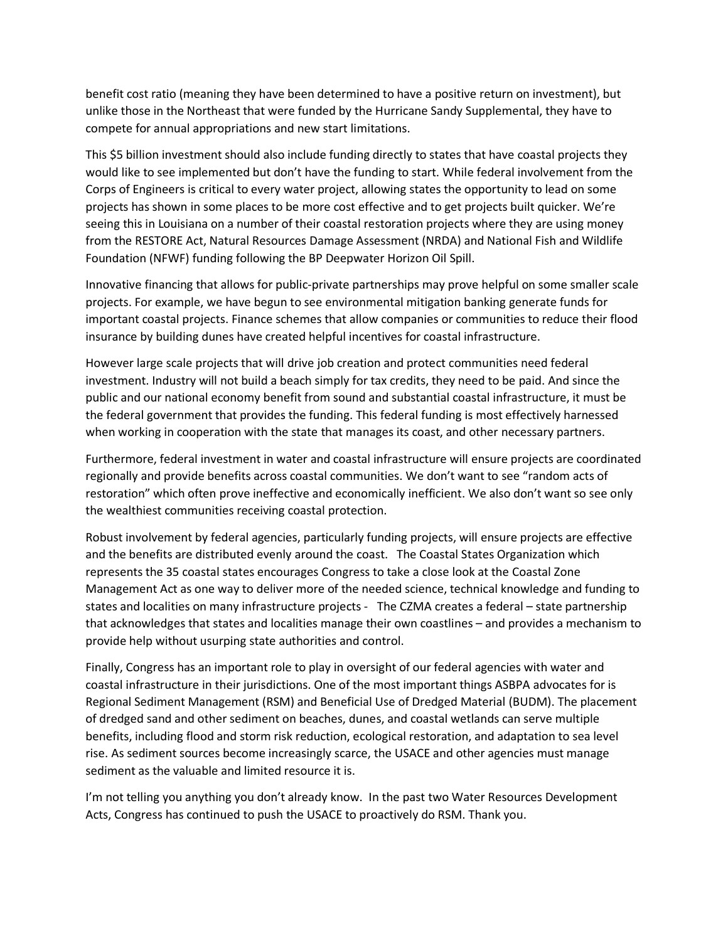benefit cost ratio (meaning they have been determined to have a positive return on investment), but unlike those in the Northeast that were funded by the Hurricane Sandy Supplemental, they have to compete for annual appropriations and new start limitations.

This \$5 billion investment should also include funding directly to states that have coastal projects they would like to see implemented but don't have the funding to start. While federal involvement from the Corps of Engineers is critical to every water project, allowing states the opportunity to lead on some projects has shown in some places to be more cost effective and to get projects built quicker. We're seeing this in Louisiana on a number of their coastal restoration projects where they are using money from the RESTORE Act, Natural Resources Damage Assessment (NRDA) and National Fish and Wildlife Foundation (NFWF) funding following the BP Deepwater Horizon Oil Spill.

Innovative financing that allows for public-private partnerships may prove helpful on some smaller scale projects. For example, we have begun to see environmental mitigation banking generate funds for important coastal projects. Finance schemes that allow companies or communities to reduce their flood insurance by building dunes have created helpful incentives for coastal infrastructure.

However large scale projects that will drive job creation and protect communities need federal investment. Industry will not build a beach simply for tax credits, they need to be paid. And since the public and our national economy benefit from sound and substantial coastal infrastructure, it must be the federal government that provides the funding. This federal funding is most effectively harnessed when working in cooperation with the state that manages its coast, and other necessary partners.

Furthermore, federal investment in water and coastal infrastructure will ensure projects are coordinated regionally and provide benefits across coastal communities. We don't want to see "random acts of restoration" which often prove ineffective and economically inefficient. We also don't want so see only the wealthiest communities receiving coastal protection.

Robust involvement by federal agencies, particularly funding projects, will ensure projects are effective and the benefits are distributed evenly around the coast. The Coastal States Organization which represents the 35 coastal states encourages Congress to take a close look at the Coastal Zone Management Act as one way to deliver more of the needed science, technical knowledge and funding to states and localities on many infrastructure projects - The CZMA creates a federal – state partnership that acknowledges that states and localities manage their own coastlines – and provides a mechanism to provide help without usurping state authorities and control.

Finally, Congress has an important role to play in oversight of our federal agencies with water and coastal infrastructure in their jurisdictions. One of the most important things ASBPA advocates for is Regional Sediment Management (RSM) and Beneficial Use of Dredged Material (BUDM). The placement of dredged sand and other sediment on beaches, dunes, and coastal wetlands can serve multiple benefits, including flood and storm risk reduction, ecological restoration, and adaptation to sea level rise. As sediment sources become increasingly scarce, the USACE and other agencies must manage sediment as the valuable and limited resource it is.

I'm not telling you anything you don't already know. In the past two Water Resources Development Acts, Congress has continued to push the USACE to proactively do RSM. Thank you.